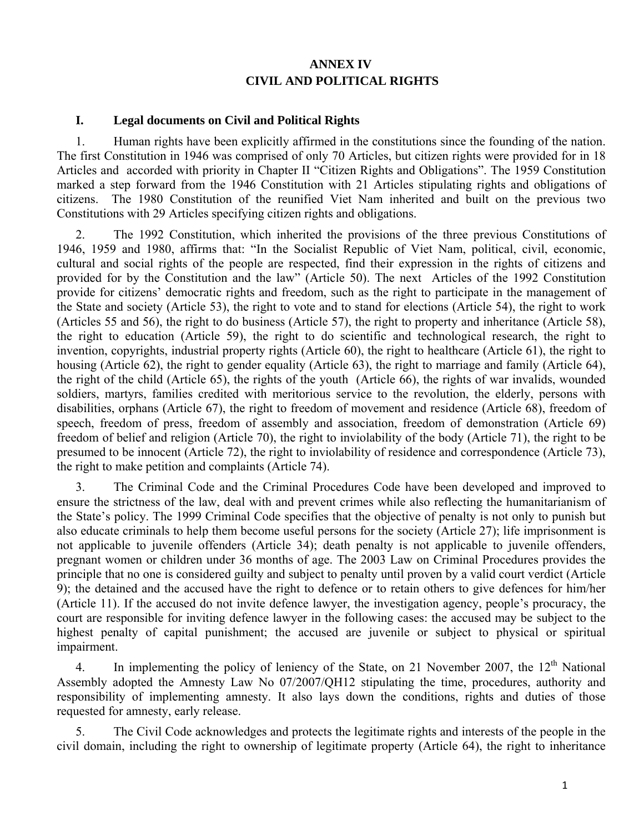# **ANNEX IV CIVIL AND POLITICAL RIGHTS**

### **I. Legal documents on Civil and Political Rights**

1. Human rights have been explicitly affirmed in the constitutions since the founding of the nation. The first Constitution in 1946 was comprised of only 70 Articles, but citizen rights were provided for in 18 Articles and accorded with priority in Chapter II "Citizen Rights and Obligations". The 1959 Constitution marked a step forward from the 1946 Constitution with 21 Articles stipulating rights and obligations of citizens. The 1980 Constitution of the reunified Viet Nam inherited and built on the previous two Constitutions with 29 Articles specifying citizen rights and obligations.

2. The 1992 Constitution, which inherited the provisions of the three previous Constitutions of 1946, 1959 and 1980, affirms that: "In the Socialist Republic of Viet Nam, political, civil, economic, cultural and social rights of the people are respected, find their expression in the rights of citizens and provided for by the Constitution and the law" (Article 50). The next Articles of the 1992 Constitution provide for citizens' democratic rights and freedom, such as the right to participate in the management of the State and society (Article 53), the right to vote and to stand for elections (Article 54), the right to work (Articles 55 and 56), the right to do business (Article 57), the right to property and inheritance (Article 58), the right to education (Article 59), the right to do scientific and technological research, the right to invention, copyrights, industrial property rights (Article 60), the right to healthcare (Article 61), the right to housing (Article 62), the right to gender equality (Article 63), the right to marriage and family (Article 64), the right of the child (Article 65), the rights of the youth (Article 66), the rights of war invalids, wounded soldiers, martyrs, families credited with meritorious service to the revolution, the elderly, persons with disabilities, orphans (Article 67), the right to freedom of movement and residence (Article 68), freedom of speech, freedom of press, freedom of assembly and association, freedom of demonstration (Article 69) freedom of belief and religion (Article 70), the right to inviolability of the body (Article 71), the right to be presumed to be innocent (Article 72), the right to inviolability of residence and correspondence (Article 73), the right to make petition and complaints (Article 74).

3. The Criminal Code and the Criminal Procedures Code have been developed and improved to ensure the strictness of the law, deal with and prevent crimes while also reflecting the humanitarianism of the State's policy. The 1999 Criminal Code specifies that the objective of penalty is not only to punish but also educate criminals to help them become useful persons for the society (Article 27); life imprisonment is not applicable to juvenile offenders (Article 34); death penalty is not applicable to juvenile offenders, pregnant women or children under 36 months of age. The 2003 Law on Criminal Procedures provides the principle that no one is considered guilty and subject to penalty until proven by a valid court verdict (Article 9); the detained and the accused have the right to defence or to retain others to give defences for him/her (Article 11). If the accused do not invite defence lawyer, the investigation agency, people's procuracy, the court are responsible for inviting defence lawyer in the following cases: the accused may be subject to the highest penalty of capital punishment; the accused are juvenile or subject to physical or spiritual impairment.

4. In implementing the policy of leniency of the State, on 21 November 2007, the  $12<sup>th</sup>$  National Assembly adopted the Amnesty Law No 07/2007/QH12 stipulating the time, procedures, authority and responsibility of implementing amnesty. It also lays down the conditions, rights and duties of those requested for amnesty, early release.

5. The Civil Code acknowledges and protects the legitimate rights and interests of the people in the civil domain, including the right to ownership of legitimate property (Article 64), the right to inheritance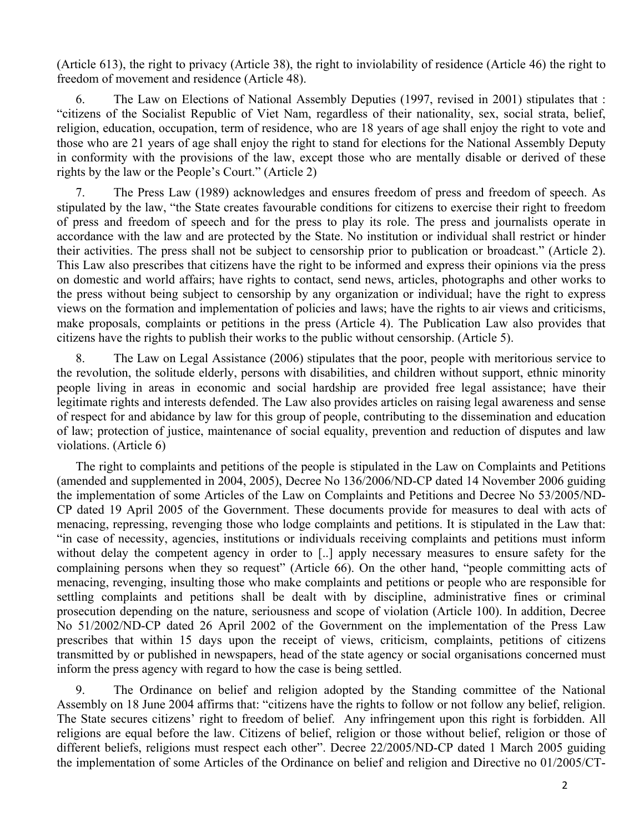(Article 613), the right to privacy (Article 38), the right to inviolability of residence (Article 46) the right to freedom of movement and residence (Article 48).

6. The Law on Elections of National Assembly Deputies (1997, revised in 2001) stipulates that : "citizens of the Socialist Republic of Viet Nam, regardless of their nationality, sex, social strata, belief, religion, education, occupation, term of residence, who are 18 years of age shall enjoy the right to vote and those who are 21 years of age shall enjoy the right to stand for elections for the National Assembly Deputy in conformity with the provisions of the law, except those who are mentally disable or derived of these rights by the law or the People's Court." (Article 2)

7. The Press Law (1989) acknowledges and ensures freedom of press and freedom of speech. As stipulated by the law, "the State creates favourable conditions for citizens to exercise their right to freedom of press and freedom of speech and for the press to play its role. The press and journalists operate in accordance with the law and are protected by the State. No institution or individual shall restrict or hinder their activities. The press shall not be subject to censorship prior to publication or broadcast." (Article 2). This Law also prescribes that citizens have the right to be informed and express their opinions via the press on domestic and world affairs; have rights to contact, send news, articles, photographs and other works to the press without being subject to censorship by any organization or individual; have the right to express views on the formation and implementation of policies and laws; have the rights to air views and criticisms, make proposals, complaints or petitions in the press (Article 4). The Publication Law also provides that citizens have the rights to publish their works to the public without censorship. (Article 5).

8. The Law on Legal Assistance (2006) stipulates that the poor, people with meritorious service to the revolution, the solitude elderly, persons with disabilities, and children without support, ethnic minority people living in areas in economic and social hardship are provided free legal assistance; have their legitimate rights and interests defended. The Law also provides articles on raising legal awareness and sense of respect for and abidance by law for this group of people, contributing to the dissemination and education of law; protection of justice, maintenance of social equality, prevention and reduction of disputes and law violations. (Article 6)

The right to complaints and petitions of the people is stipulated in the Law on Complaints and Petitions (amended and supplemented in 2004, 2005), Decree No 136/2006/ND-CP dated 14 November 2006 guiding the implementation of some Articles of the Law on Complaints and Petitions and Decree No 53/2005/ND-CP dated 19 April 2005 of the Government. These documents provide for measures to deal with acts of menacing, repressing, revenging those who lodge complaints and petitions. It is stipulated in the Law that: "in case of necessity, agencies, institutions or individuals receiving complaints and petitions must inform without delay the competent agency in order to [..] apply necessary measures to ensure safety for the complaining persons when they so request" (Article 66). On the other hand, "people committing acts of menacing, revenging, insulting those who make complaints and petitions or people who are responsible for settling complaints and petitions shall be dealt with by discipline, administrative fines or criminal prosecution depending on the nature, seriousness and scope of violation (Article 100). In addition, Decree No 51/2002/ND-CP dated 26 April 2002 of the Government on the implementation of the Press Law prescribes that within 15 days upon the receipt of views, criticism, complaints, petitions of citizens transmitted by or published in newspapers, head of the state agency or social organisations concerned must inform the press agency with regard to how the case is being settled.

9. The Ordinance on belief and religion adopted by the Standing committee of the National Assembly on 18 June 2004 affirms that: "citizens have the rights to follow or not follow any belief, religion. The State secures citizens' right to freedom of belief. Any infringement upon this right is forbidden. All religions are equal before the law. Citizens of belief, religion or those without belief, religion or those of different beliefs, religions must respect each other". Decree 22/2005/ND-CP dated 1 March 2005 guiding the implementation of some Articles of the Ordinance on belief and religion and Directive no 01/2005/CT-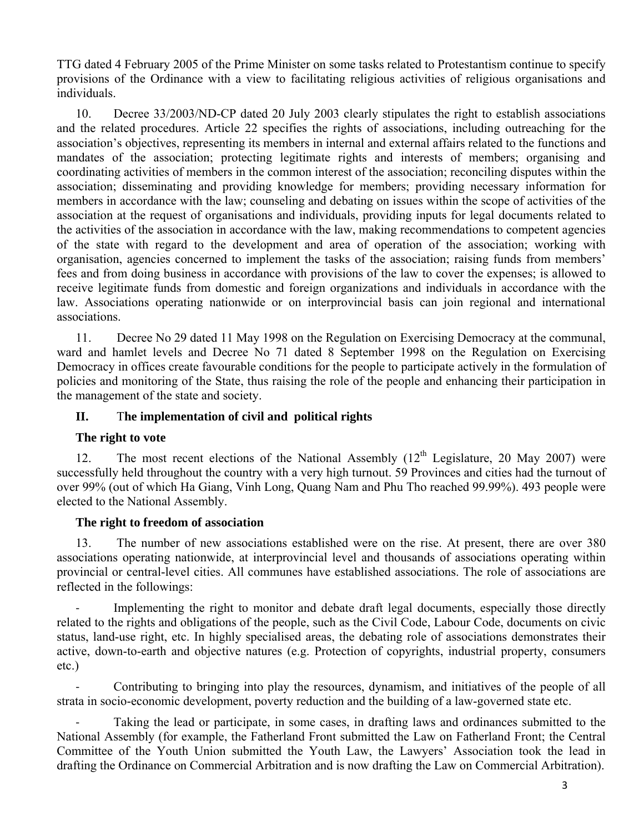TTG dated 4 February 2005 of the Prime Minister on some tasks related to Protestantism continue to specify provisions of the Ordinance with a view to facilitating religious activities of religious organisations and individuals.

10. Decree 33/2003/ND-CP dated 20 July 2003 clearly stipulates the right to establish associations and the related procedures. Article 22 specifies the rights of associations, including outreaching for the association's objectives, representing its members in internal and external affairs related to the functions and mandates of the association; protecting legitimate rights and interests of members; organising and coordinating activities of members in the common interest of the association; reconciling disputes within the association; disseminating and providing knowledge for members; providing necessary information for members in accordance with the law; counseling and debating on issues within the scope of activities of the association at the request of organisations and individuals, providing inputs for legal documents related to the activities of the association in accordance with the law, making recommendations to competent agencies of the state with regard to the development and area of operation of the association; working with organisation, agencies concerned to implement the tasks of the association; raising funds from members' fees and from doing business in accordance with provisions of the law to cover the expenses; is allowed to receive legitimate funds from domestic and foreign organizations and individuals in accordance with the law. Associations operating nationwide or on interprovincial basis can join regional and international associations.

11. Decree No 29 dated 11 May 1998 on the Regulation on Exercising Democracy at the communal, ward and hamlet levels and Decree No 71 dated 8 September 1998 on the Regulation on Exercising Democracy in offices create favourable conditions for the people to participate actively in the formulation of policies and monitoring of the State, thus raising the role of the people and enhancing their participation in the management of the state and society.

## **II.** T**he implementation of civil and political rights**

#### **The right to vote**

12. The most recent elections of the National Assembly  $(12<sup>th</sup>$  Legislature, 20 May 2007) were successfully held throughout the country with a very high turnout. 59 Provinces and cities had the turnout of over 99% (out of which Ha Giang, Vinh Long, Quang Nam and Phu Tho reached 99.99%). 493 people were elected to the National Assembly.

#### **The right to freedom of association**

13. The number of new associations established were on the rise. At present, there are over 380 associations operating nationwide, at interprovincial level and thousands of associations operating within provincial or central-level cities. All communes have established associations. The role of associations are reflected in the followings:

Implementing the right to monitor and debate draft legal documents, especially those directly related to the rights and obligations of the people, such as the Civil Code, Labour Code, documents on civic status, land-use right, etc. In highly specialised areas, the debating role of associations demonstrates their active, down-to-earth and objective natures (e.g. Protection of copyrights, industrial property, consumers etc.)

‐ Contributing to bringing into play the resources, dynamism, and initiatives of the people of all strata in socio-economic development, poverty reduction and the building of a law-governed state etc.

Taking the lead or participate, in some cases, in drafting laws and ordinances submitted to the National Assembly (for example, the Fatherland Front submitted the Law on Fatherland Front; the Central Committee of the Youth Union submitted the Youth Law, the Lawyers' Association took the lead in drafting the Ordinance on Commercial Arbitration and is now drafting the Law on Commercial Arbitration).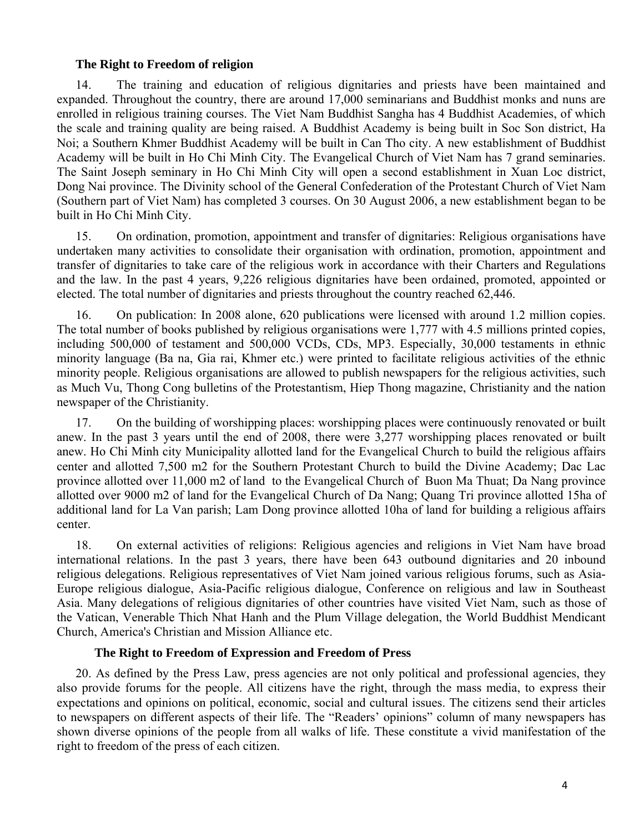#### **The Right to Freedom of religion**

14. The training and education of religious dignitaries and priests have been maintained and expanded. Throughout the country, there are around 17,000 seminarians and Buddhist monks and nuns are enrolled in religious training courses. The Viet Nam Buddhist Sangha has 4 Buddhist Academies, of which the scale and training quality are being raised. A Buddhist Academy is being built in Soc Son district, Ha Noi; a Southern Khmer Buddhist Academy will be built in Can Tho city. A new establishment of Buddhist Academy will be built in Ho Chi Minh City. The Evangelical Church of Viet Nam has 7 grand seminaries. The Saint Joseph seminary in Ho Chi Minh City will open a second establishment in Xuan Loc district, Dong Nai province. The Divinity school of the General Confederation of the Protestant Church of Viet Nam (Southern part of Viet Nam) has completed 3 courses. On 30 August 2006, a new establishment began to be built in Ho Chi Minh City.

15. On ordination, promotion, appointment and transfer of dignitaries: Religious organisations have undertaken many activities to consolidate their organisation with ordination, promotion, appointment and transfer of dignitaries to take care of the religious work in accordance with their Charters and Regulations and the law. In the past 4 years, 9,226 religious dignitaries have been ordained, promoted, appointed or elected. The total number of dignitaries and priests throughout the country reached 62,446.

16. On publication: In 2008 alone, 620 publications were licensed with around 1.2 million copies. The total number of books published by religious organisations were 1,777 with 4.5 millions printed copies, including 500,000 of testament and 500,000 VCDs, CDs, MP3. Especially, 30,000 testaments in ethnic minority language (Ba na, Gia rai, Khmer etc.) were printed to facilitate religious activities of the ethnic minority people. Religious organisations are allowed to publish newspapers for the religious activities, such as Much Vu, Thong Cong bulletins of the Protestantism, Hiep Thong magazine, Christianity and the nation newspaper of the Christianity.

17. On the building of worshipping places: worshipping places were continuously renovated or built anew. In the past 3 years until the end of 2008, there were 3,277 worshipping places renovated or built anew. Ho Chi Minh city Municipality allotted land for the Evangelical Church to build the religious affairs center and allotted 7,500 m2 for the Southern Protestant Church to build the Divine Academy; Dac Lac province allotted over 11,000 m2 of land to the Evangelical Church of Buon Ma Thuat; Da Nang province allotted over 9000 m2 of land for the Evangelical Church of Da Nang; Quang Tri province allotted 15ha of additional land for La Van parish; Lam Dong province allotted 10ha of land for building a religious affairs center.

18. On external activities of religions: Religious agencies and religions in Viet Nam have broad international relations. In the past 3 years, there have been 643 outbound dignitaries and 20 inbound religious delegations. Religious representatives of Viet Nam joined various religious forums, such as Asia-Europe religious dialogue, Asia-Pacific religious dialogue, Conference on religious and law in Southeast Asia. Many delegations of religious dignitaries of other countries have visited Viet Nam, such as those of the Vatican, Venerable Thich Nhat Hanh and the Plum Village delegation, the World Buddhist Mendicant Church, America's Christian and Mission Alliance etc.

#### **The Right to Freedom of Expression and Freedom of Press**

20. As defined by the Press Law, press agencies are not only political and professional agencies, they also provide forums for the people. All citizens have the right, through the mass media, to express their expectations and opinions on political, economic, social and cultural issues. The citizens send their articles to newspapers on different aspects of their life. The "Readers' opinions" column of many newspapers has shown diverse opinions of the people from all walks of life. These constitute a vivid manifestation of the right to freedom of the press of each citizen.